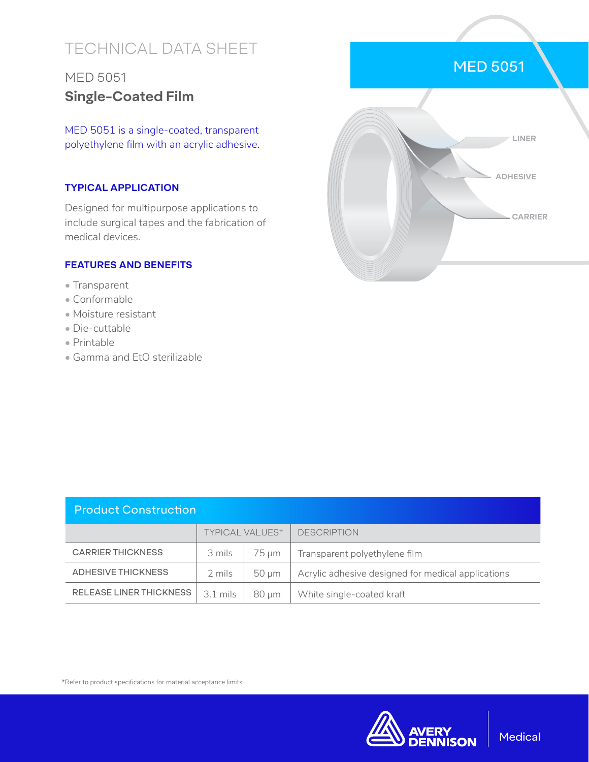# TECHNICAL DATA SHEET

# MED 5051 **Single-Coated Film**

MED 5051 is a single-coated, transparent polyethylene film with an acrylic adhesive.

#### **TYPICAL APPLICATION**

Designed for multipurpose applications to include surgical tapes and the fabrication of medical devices.

#### **FEATURES AND BENEFITS**

- Transparent
- Conformable
- Moisture resistant
- Die-cuttable
- Printable
- Gamma and EtO sterilizable



| <b>Product Construction</b> |                        |            |                                                    |  |  |
|-----------------------------|------------------------|------------|----------------------------------------------------|--|--|
|                             | <b>TYPICAL VALUES*</b> |            | <b>DESCRIPTION</b>                                 |  |  |
| <b>CARRIER THICKNESS</b>    | 3 mils                 | 75 µm      | Transparent polyethylene film                      |  |  |
| ADHESIVE THICKNESS          | 2 mils                 | $50 \mu m$ | Acrylic adhesive designed for medical applications |  |  |
| RELEASE LINER THICKNESS     | $3.1$ mils             | $80 \mu m$ | White single-coated kraft                          |  |  |

\*Refer to product specifications for material acceptance limits.